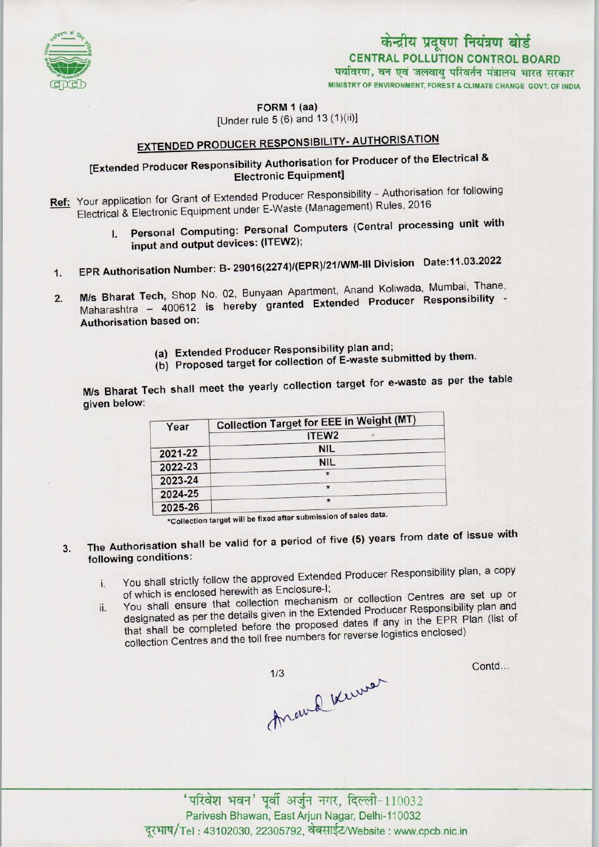

# केन्द्रीय प्रदूषण नियंत्रण बोर्ड CENTRAL POLLUTION CONTROL BOARD<br>पर्यावरण, वन एवं जलवायु परिवर्तन मंत्रालय भारत सरकार

MINISTRY OF ENVIRONMENT, FOREST & CLIMATE CHANGE GOVT. OF INDIA

FORM 1 (aa)

[Under rule  $5(6)$  and  $13(1)(ii)$ ]

## EXTENDED PRODUCER RESPONSIBILITY- AUTHORISATION

### [Extended Producer Responsibility Authorisation for Producer of the Electrical & Electronic Equipment]

Ref: Your application for Grant of Extended Producer Responsibility - Authorisation for following Electrical & Electronic Equipment under E-Waste (Management) Rules, 2016

- I. Personal Computing: Personal Computers (Central processing unit with input and output devices: (ITEW2); 1. Personal Computing: Personal Computers (Company)<br>input and output devices: (ITEW2);<br>1. EPR Authorisation Number: B- 29016(2274)/(EPR)/21/WM-III Division Date:11.03.2022
- 
- 1. EPR Authorisation Number: B- 29016(2274)/(EPR)/21/WM-III Division Date:11.03.2022<br>2. M/s Bharat Tech, Shop No. 02, Bunyaan Apartment, Anand Koliwada, Mumbai, Thane, M/s Bharat Tech, Shop No. 02, Bunyaan Apartment, Anand Koliwada, Mumbai, Thane, Maharashtra - 400612 is hereby granted Extended Producer Responsibility -Authorisation based on:
	- (a)Extended Producer Responsibility plan and;
	- (b) Proposed target for collection of E-waste submitted by them.

M/s Bharat Tech shall meet the yearly collection target for e-waste as per the table given below:

| Year    | <b>Collection Target for EEE in Weight (MT)</b>                             |
|---------|-----------------------------------------------------------------------------|
|         | ITEW <sub>2</sub>                                                           |
| 2021-22 | <b>NIL</b>                                                                  |
| 2022-23 | <b>NIL</b>                                                                  |
| 2023-24 | $\star$                                                                     |
| 2024-25 | $\star$                                                                     |
| 2025-26 | $\star$<br>*Collection target will be fixed after submission of sales data. |

- The Authorisation shall be valid for a period of five (5) years from date of issue with  $3.$ following conditions:
	- You shall strictly follow the approved Extended Producer Responsibility plan, a copy of which is enclosed herewith as Enclosure-I; i. You shall strictly follow the approved External<br>of which is enclosed herewith as Enclosure-I;<br>that collection mechanism or collection Centres are set up or
	- You shall ensure that collection mechanism or collection centres are corrected. designated as per the details given in the Extended Producer Responsibility plan and that shall be completed before the proposed dates if any in the EPR Plan (list of collection Centres and the toll free numbers for reverse logistics enclosed)

thewal knower

Contd...

'परिवेश भवन' पूर्वी अर्जुन नगर, दिल्ली-110032 Parivesh Bhawan, East Arjun Nagar, Delhi-110032 दूरभाष/Tel: 43102030, 22305792, वेबसाईट/Website : www.cpcb.nic.in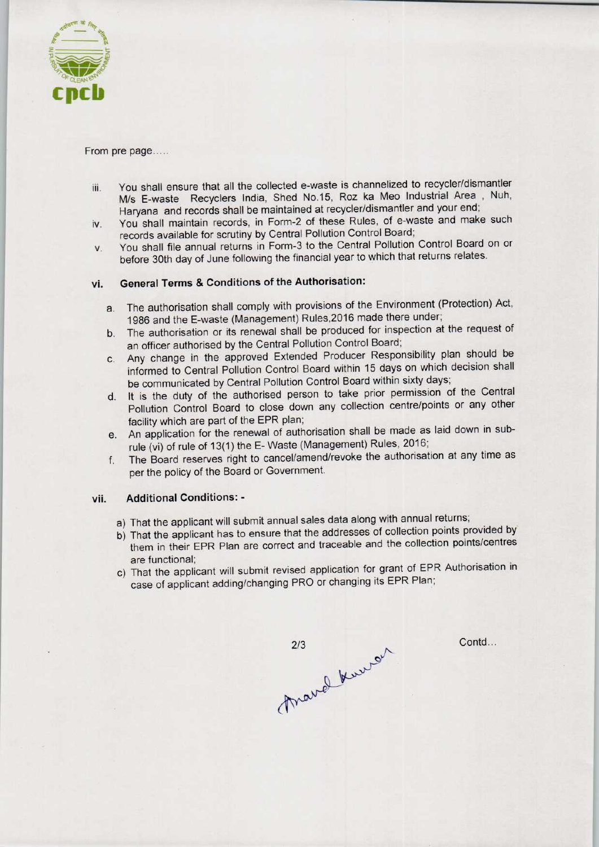

From pre page.....

- iii. You shall ensure that all the collected e-waste is channelized to recycler/dismantler M/s E-waste Recyclers India, Shed No.15, Roz ka Meo Industrial Area , Nuh, Haryana and records shall be maintained at recycler/dismantler and your end;
- iv. You shall maintain records, in Form-2 of these Rules, of e-waste and make such records available for scrutiny by Central Pollution Control Board;
- v. You shall file annual returns in Form-3 to the Central Pollution Control Board on or before 30th day of June following the financial year to which that returns relates.

### vi. General Terms & Conditions of the Authorisation:

- a.The authorisation shall comply with provisions of the Environment (Protection) Act, 1986 and the E-waste (Management) Rules,2016 made there under;
- b. The authorisation or its renewal shall be produced for inspection at the request of an officer authorised by the Central Pollution Control Board;
- c.Any change in the approved Extended Producer Responsibility plan should be informed to Central Pollution Control Board within 15 days on which decision shall be communicated by Central Pollution Control Board within sixty days;
- d. It is the duty of the authorised person to take prior permission of the Central Pollution Control Board to close down any collection centre/points or any other facility which are part of the EPR plan;
- e.An application for the renewal of authorisation shall be made aslaid down in subrule (vi) of rule of 13(1) the E- Waste (Management) Rules. 2016;
- f. The Board reserves right to cancel/amend/revoke the authorisation at any time as per the policy of the Board or Government.

#### vii. Additional Conditions: -

- a) That the applicant will submit annual sales data along with annual returns;
- b) That the applicant has to ensure that the addresses of collection points provided by them in their EPR Plan are correct and traceable and the collection points/centres are functional;
- c) That the applicant will submit revised application for grant of EPR Authorisation in case of applicant adding/changing PRO or changing its EPR Plan;

march knew

Contd...